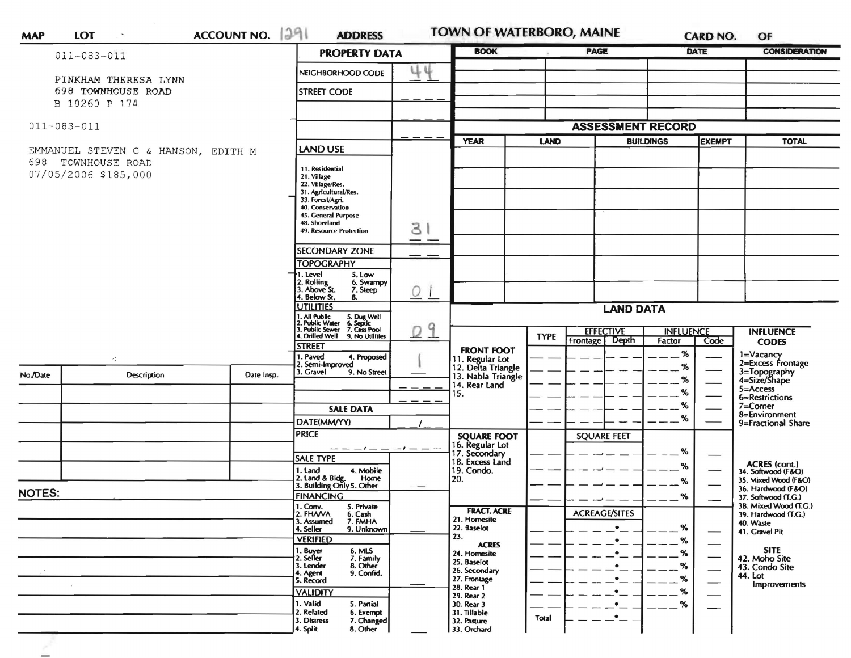|                                                                                   | $011 - 083 - 011$                          | <b>PROPERTY DATA</b> |                                                                                                                                                                                        | <b>BOOK</b>                |                                                                                     | <b>PAGE</b> |                                                                            | DATE               | <b>CONSIDERATION</b> |                                                             |
|-----------------------------------------------------------------------------------|--------------------------------------------|----------------------|----------------------------------------------------------------------------------------------------------------------------------------------------------------------------------------|----------------------------|-------------------------------------------------------------------------------------|-------------|----------------------------------------------------------------------------|--------------------|----------------------|-------------------------------------------------------------|
|                                                                                   |                                            |                      | NEIGHBORHOOD CODE                                                                                                                                                                      | 44                         |                                                                                     |             |                                                                            |                    |                      |                                                             |
|                                                                                   | PINKHAM THERESA LYNN<br>698 TOWNHOUSE ROAD |                      | <b>STREET CODE</b>                                                                                                                                                                     |                            |                                                                                     |             |                                                                            |                    |                      |                                                             |
|                                                                                   | B 10260 P 174                              |                      |                                                                                                                                                                                        |                            |                                                                                     |             |                                                                            |                    |                      |                                                             |
| $011 - 083 - 011$                                                                 |                                            |                      |                                                                                                                                                                                        |                            | <b>ASSESSMENT RECORD</b>                                                            |             |                                                                            |                    |                      |                                                             |
|                                                                                   |                                            | <b>LAND USE</b>      |                                                                                                                                                                                        | <b>YEAR</b><br><b>LAND</b> |                                                                                     |             | <b>EXEMPT</b><br><b>BUILDINGS</b>                                          |                    | <b>TOTAL</b>         |                                                             |
| EMMANUEL STEVEN C & HANSON, EDITH M<br>698 TOWNHOUSE ROAD<br>07/05/2006 \$185,000 |                                            |                      | 11. Residential<br>21. Village<br>22. Village/Res.<br>31. Agricultural/Res.<br>33. Forest/Agri.<br>40. Conservation<br>45. General Purpose<br>48. Shoreland<br>49. Resource Protection | 31                         |                                                                                     |             |                                                                            |                    |                      |                                                             |
|                                                                                   |                                            |                      | <b>SECONDARY ZONE</b>                                                                                                                                                                  | ——                         |                                                                                     |             |                                                                            |                    |                      |                                                             |
|                                                                                   |                                            |                      | <b>TOPOGRAPHY</b>                                                                                                                                                                      |                            |                                                                                     |             |                                                                            |                    |                      |                                                             |
|                                                                                   |                                            |                      | I. Level<br>5. Low<br>2. Rolling<br>3. Above St.<br>6. Swampy<br>7. Steep<br>4. Below St.<br>8.                                                                                        | $Q_1$                      |                                                                                     |             |                                                                            |                    |                      |                                                             |
|                                                                                   |                                            |                      | <b>UTILITIES</b><br>. All Public                                                                                                                                                       |                            | <b>LAND DATA</b>                                                                    |             |                                                                            |                    |                      |                                                             |
|                                                                                   |                                            |                      | 5. Dug Well<br>6. Septic<br>7. Cess Pool<br>Public Water<br>3. Public Sewer<br>4. Drilled Well<br>9. No Utilities                                                                      | q<br>D                     | <b>FRONT FOOT</b>                                                                   | <b>TYPE</b> | <b>EFFECTIVE</b><br><b>INFLUENCE</b><br>Depth<br><b>Frontage</b><br>Factor |                    |                      | <b>INFLUENCE</b>                                            |
|                                                                                   |                                            |                      | street<br>I. Paved<br>4. Proposed                                                                                                                                                      |                            |                                                                                     |             |                                                                            | %                  | Code                 | <b>CODES</b><br>1=Vacancy                                   |
| No./Date                                                                          | ×.<br><b>Description</b>                   | Date Insp.           | 2. Semi-Improved<br>3. Gravel<br>9. No Street                                                                                                                                          |                            | 11. Regular Lot<br>12. Delta Triangle<br>13. Nabla Triangle<br>14. Rear Land<br>15. |             |                                                                            | %                  |                      | 2=Excess Frontage<br>3=Topography<br>4=Size/Shape           |
|                                                                                   |                                            |                      |                                                                                                                                                                                        |                            |                                                                                     |             |                                                                            | $\%$<br>%          |                      | $5 =$ Access                                                |
|                                                                                   |                                            |                      | <b>SALE DATA</b>                                                                                                                                                                       |                            |                                                                                     |             |                                                                            | %                  |                      | 6=Restrictions<br>$7 =$ Corner<br>8=Environment             |
|                                                                                   |                                            |                      | DATE(MM/YY)                                                                                                                                                                            |                            |                                                                                     |             |                                                                            | %                  |                      | 9=Fractional Share                                          |
|                                                                                   |                                            |                      | <b>PRICE</b>                                                                                                                                                                           | $-1$ $  -$                 | <b>SQUARE FOOT</b><br>16. Regular Lot                                               |             | <b>SQUARE FEET</b>                                                         |                    |                      |                                                             |
|                                                                                   |                                            |                      | <b>SALE TYPE</b>                                                                                                                                                                       |                            | 17. Secondary<br>18. Excess Land                                                    |             |                                                                            | %<br>%             |                      |                                                             |
|                                                                                   |                                            |                      | 1. Land<br>4. Mobile<br>2. Land & Bldg. Home<br>3. Building Only 5. Other<br>Home                                                                                                      |                            | 19. Condo.<br>20.                                                                   |             |                                                                            | %                  |                      | ACRES (cont.)<br>34. Softwood (F&O)<br>35. Mixed Wood (F&O) |
| <b>NOTES:</b>                                                                     |                                            |                      | <b>FINANCING</b>                                                                                                                                                                       |                            |                                                                                     |             |                                                                            | %                  |                      | 36. Hardwood (F&O)<br>37. Softwood (T.G.)                   |
|                                                                                   |                                            |                      | 1. Conv.<br>5. Private<br>2. FHAVA<br>6. Cash<br>7. FMHA<br>3. Assumed                                                                                                                 |                            | <b>FRACT. ACRE</b><br>21. Homesite                                                  |             | <b>ACREAGE/SITES</b>                                                       |                    |                      | 3B. Mixed Wood (T.G.)<br>39. Hardwood (T.G.)                |
|                                                                                   |                                            |                      | 4. Seller<br>9. Unknown<br><b>VERIFIED</b>                                                                                                                                             |                            | 22. Baselot<br>23.                                                                  |             | $\bullet$                                                                  | %                  |                      | 40. Waste<br>41. Gravel Pit                                 |
|                                                                                   |                                            |                      | 1. Buyer<br>2. Seller<br>6. MLS<br>7. Family                                                                                                                                           |                            | <b>ACRES</b><br>24. Homesite                                                        |             | ٠                                                                          | %<br>$\frac{9}{6}$ |                      | <b>SITE</b>                                                 |
|                                                                                   |                                            |                      | 8. Other<br>3. Lender<br>9. Confid.                                                                                                                                                    |                            | 25. Baselot<br>26. Secondary                                                        |             | ٠                                                                          | $\%$               |                      | 42. Moho Site<br>43. Condo Site<br>44. Lot                  |
|                                                                                   |                                            |                      | 4. Agent<br>5. Record<br><b>VALIDITY</b>                                                                                                                                               |                            | 27. Frontage<br>28. Rear 1                                                          |             | $\bullet$<br>$\bullet$                                                     | %<br>℅             |                      | <b>Improvements</b>                                         |
|                                                                                   |                                            |                      | 1. Valid<br>5. Partial<br>6. Exempt                                                                                                                                                    |                            | 29. Rear 2<br>30. Rear 3                                                            |             | $\bullet$                                                                  | %                  |                      |                                                             |
|                                                                                   |                                            |                      | 2. Related<br>3. Distress<br>7. Changed<br>8. Other                                                                                                                                    |                            | 31. Tillable<br>32. Pasture                                                         | Total       | $\bullet$                                                                  |                    |                      |                                                             |